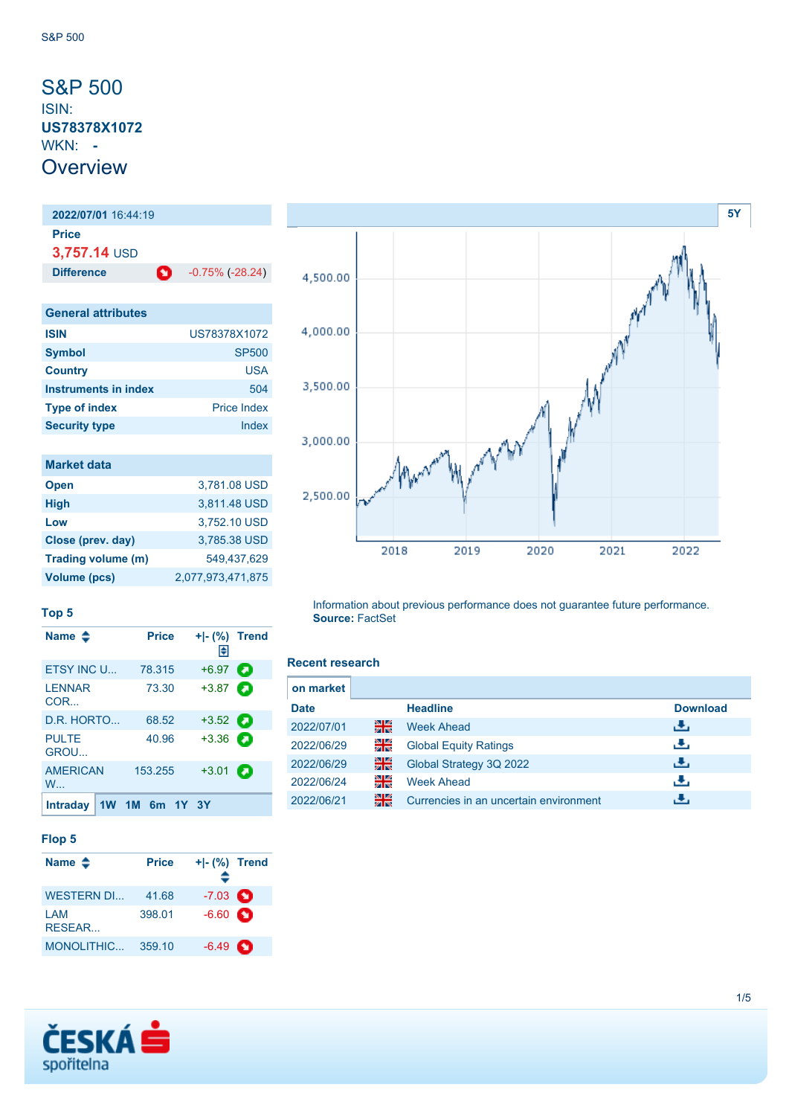### <span id="page-0-0"></span>S&P 500 ISIN: **US78378X1072** WKN: **- Overview**

**2022/07/01** 16:44:19 **Price 3,757.14** USD **Difference C** -0.75% (-28.24)

| <b>General attributes</b> |                    |
|---------------------------|--------------------|
| <b>ISIN</b>               | US78378X1072       |
| <b>Symbol</b>             | <b>SP500</b>       |
| <b>Country</b>            | USA                |
| Instruments in index      | 504                |
| <b>Type of index</b>      | <b>Price Index</b> |
| <b>Security type</b>      | Index              |

| <b>Market data</b>  |                   |
|---------------------|-------------------|
| <b>Open</b>         | 3,781.08 USD      |
| <b>High</b>         | 3,811.48 USD      |
| Low                 | 3,752.10 USD      |
| Close (prev. day)   | 3.785.38 USD      |
| Trading volume (m)  | 549,437,629       |
| <b>Volume (pcs)</b> | 2,077,973,471,875 |



**Top 5**

| Name $\clubsuit$                | <b>Price</b>   | $+$ $\mid$ - $\mid$ %) Trend<br>H |   |
|---------------------------------|----------------|-----------------------------------|---|
| <b>FTSY INC U.L.</b>            | 78.315         | $+6.97$                           | Ð |
| <b>LENNAR</b><br>COR            | 73.30          | $+3.87$ $\Box$                    |   |
| D.R. HORTO                      | 68.52          | $+3.52$                           |   |
| <b>PULTE</b><br><b>GROU</b>     | 40.96          | $+3.36$ $\Box$                    |   |
| <b>AMERICAN</b><br>$W_{\cdots}$ | 153.255        | $+3.01$                           | a |
| <b>Intraday</b>                 | 1W 1M 6m 1Y 3Y |                                   |   |

#### **Flop 5**

| Name $\triangle$  | <b>Price</b> | $+I-(\%)$ Trend   |   |
|-------------------|--------------|-------------------|---|
| <b>WESTERN DI</b> | 41.68        | $-7.03$ $\bullet$ |   |
| I AM<br>RESEAR    | 398.01       | $-6.60$ $\bullet$ |   |
| MONOLITHIC        | 359.10       | $-6.49$           | n |

Information about previous performance does not guarantee future performance. **Source:** FactSet

### **Recent research**

| on market   |    |                                        |                 |
|-------------|----|----------------------------------------|-----------------|
| <b>Date</b> |    | <b>Headline</b>                        | <b>Download</b> |
| 2022/07/01  | 을중 | <b>Week Ahead</b>                      | رائي            |
| 2022/06/29  | 읡  | <b>Global Equity Ratings</b>           | æ,              |
| 2022/06/29  | 을  | Global Strategy 3Q 2022                | رالى            |
| 2022/06/24  | 읡  | <b>Week Ahead</b>                      | æ,              |
| 2022/06/21  | 을중 | Currencies in an uncertain environment |                 |

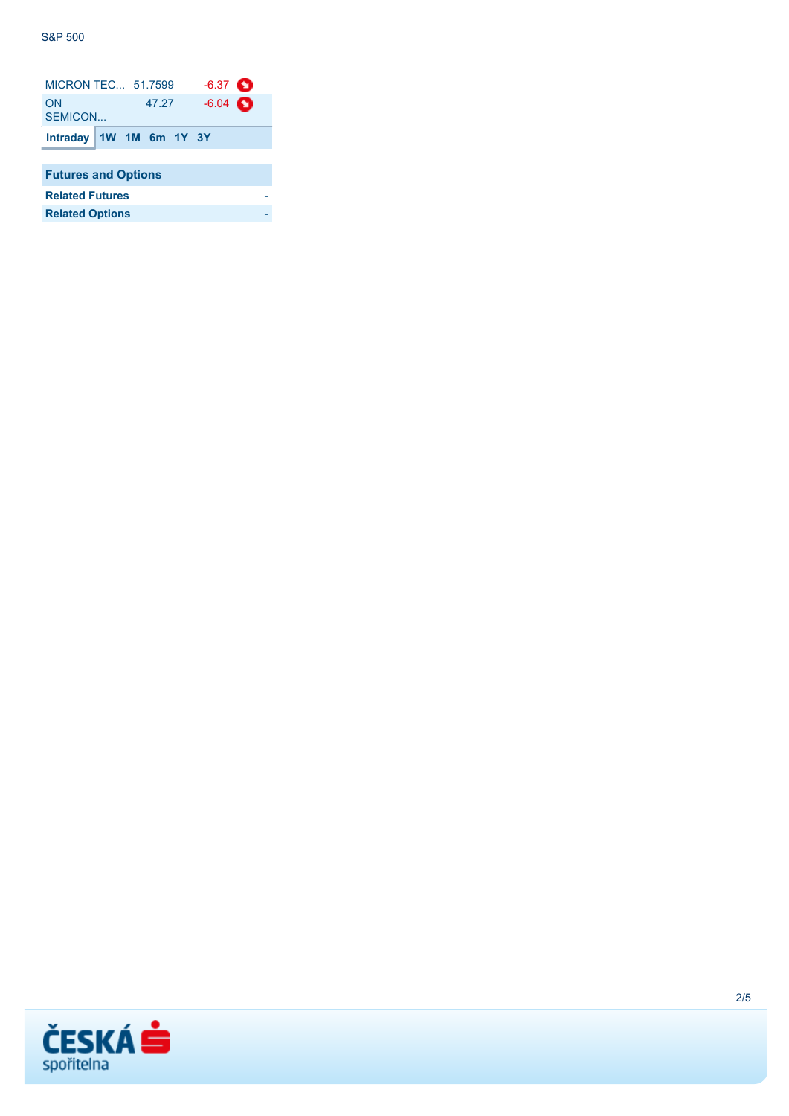| <b>MICRON TEC 51.7599</b>  |  |                           | $-6.37$ $\bullet$ |  |  |
|----------------------------|--|---------------------------|-------------------|--|--|
| ON<br>SEMICON              |  | 47.27                     | $-6.04$ $\bullet$ |  |  |
|                            |  | Intraday   1W 1M 6m 1Y 3Y |                   |  |  |
|                            |  |                           |                   |  |  |
| <b>Futures and Options</b> |  |                           |                   |  |  |
| <b>Related Futures</b>     |  |                           |                   |  |  |

| <b>Related Options</b> |  |
|------------------------|--|
|                        |  |

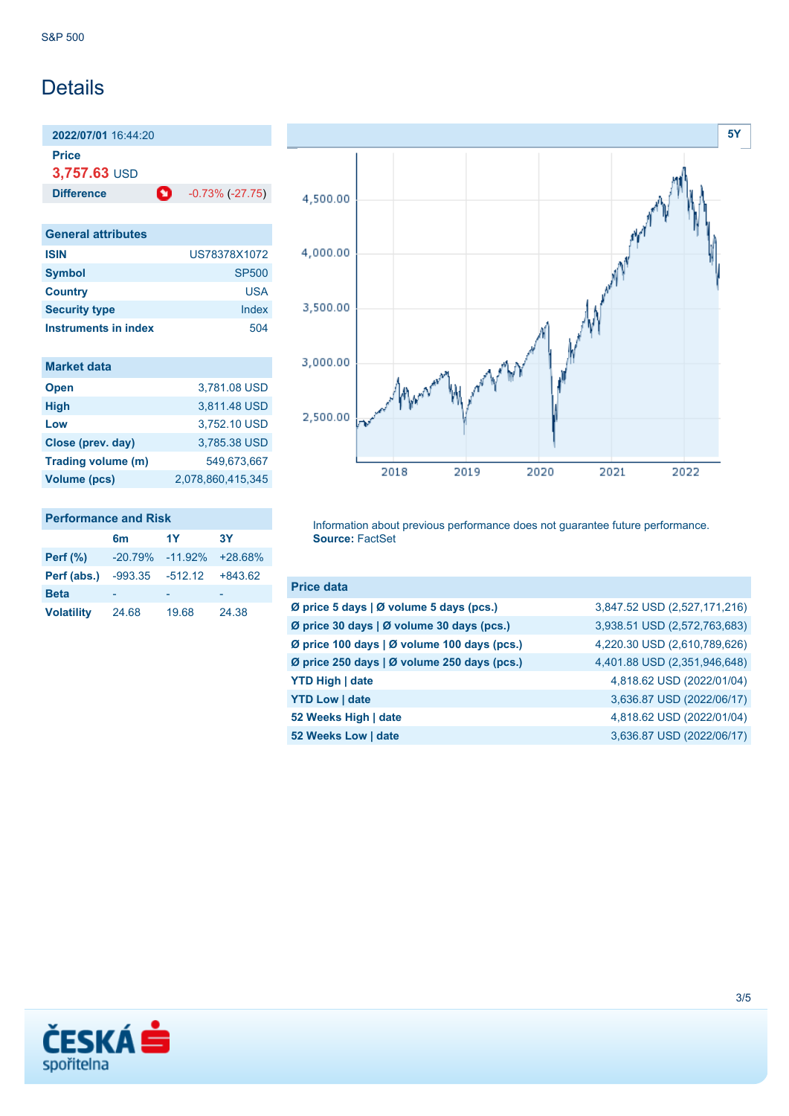## **Details**

**2022/07/01** 16:44:20 **Price**

**3,757.63** USD

**Difference 0** -0.73% (-27.75)

**General attributes ISIN** US78378X1072 **Symbol** SP500 **Country** USA **Security type** Index **Instruments in index** 504

| <b>Market data</b> |                   |
|--------------------|-------------------|
| <b>Open</b>        | 3,781.08 USD      |
| <b>High</b>        | 3,811.48 USD      |
| Low                | 3,752.10 USD      |
| Close (prev. day)  | 3,785.38 USD      |
| Trading volume (m) | 549,673,667       |
| Volume (pcs)       | 2.078.860.415.345 |
|                    |                   |

| <b>Performance and Risk</b> |    |    |  |  |
|-----------------------------|----|----|--|--|
|                             | 6m | 1Y |  |  |
| Part (% )                   |    |    |  |  |

| 24.68 | 19.68 | 24.38                                                                       |
|-------|-------|-----------------------------------------------------------------------------|
|       |       | -20.79% -11.92% +28.68%<br><b>Perf (abs.)</b> $-993.35$ $-512.12$ $+843.62$ |

**6m 1Y 3Y**



Information about previous performance does not guarantee future performance. **Source:** FactSet

| 3,847.52 USD (2,527,171,216) |
|------------------------------|
| 3,938.51 USD (2,572,763,683) |
| 4,220.30 USD (2,610,789,626) |
| 4,401.88 USD (2,351,946,648) |
| 4,818.62 USD (2022/01/04)    |
| 3,636.87 USD (2022/06/17)    |
| 4,818.62 USD (2022/01/04)    |
| 3,636.87 USD (2022/06/17)    |
|                              |

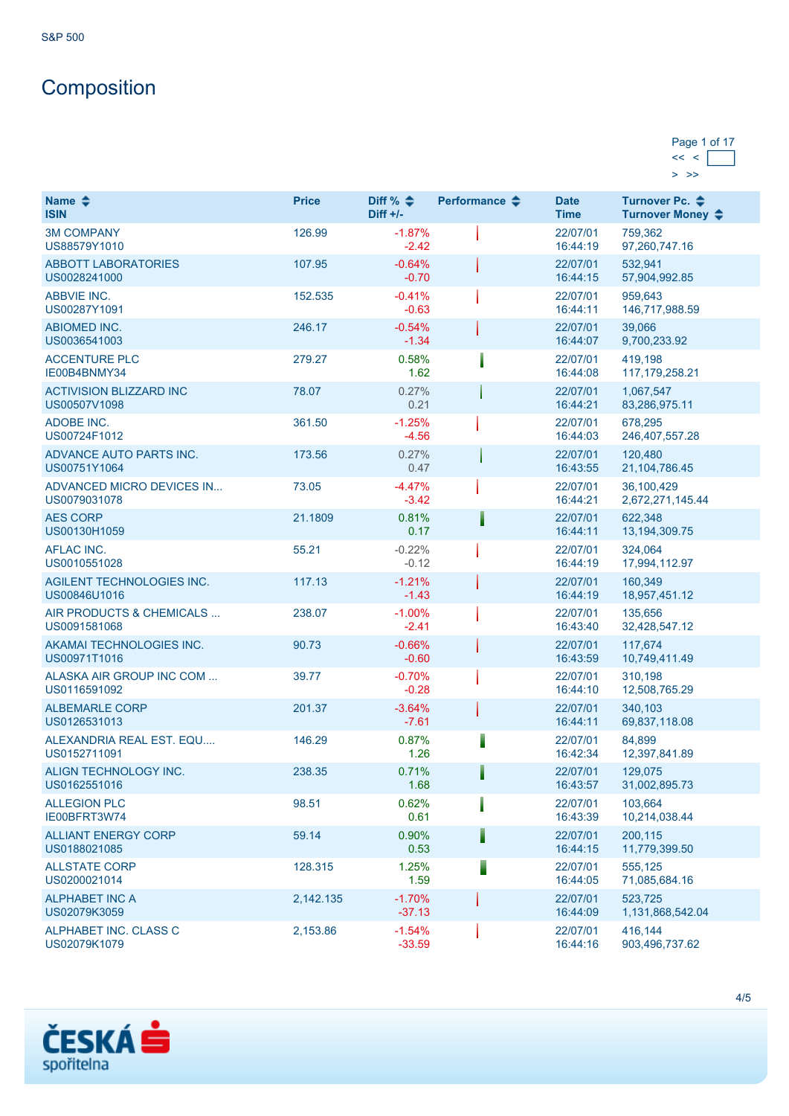# **Composition**

### Page 1 of 17  $<< <$  $>$  [>>](https://cz.products.erstegroup.com/Retail/en/MarketsAndTrends/IndicesAndEquities/Factsheets/Index/print.phtml?elem1156496_batchIndex=16&ID_NOTATION=4359526)

| Name $\triangle$<br><b>ISIN</b>                | <b>Price</b> | Diff % $\triangleq$<br>Diff $+/-$ | Performance $\triangle$ | <b>Date</b><br><b>Time</b> | Turnover Pc. <b>←</b><br>Turnover Money ♦ |
|------------------------------------------------|--------------|-----------------------------------|-------------------------|----------------------------|-------------------------------------------|
| <b>3M COMPANY</b><br>US88579Y1010              | 126.99       | $-1.87%$<br>$-2.42$               |                         | 22/07/01<br>16:44:19       | 759,362<br>97,260,747.16                  |
| <b>ABBOTT LABORATORIES</b><br>US0028241000     | 107.95       | $-0.64%$<br>$-0.70$               |                         | 22/07/01<br>16:44:15       | 532,941<br>57,904,992.85                  |
| <b>ABBVIE INC.</b><br>US00287Y1091             | 152.535      | $-0.41%$<br>$-0.63$               |                         | 22/07/01<br>16:44:11       | 959,643<br>146,717,988.59                 |
| <b>ABIOMED INC.</b><br>US0036541003            | 246.17       | $-0.54%$<br>$-1.34$               |                         | 22/07/01<br>16:44:07       | 39,066<br>9,700,233.92                    |
| <b>ACCENTURE PLC</b><br>IE00B4BNMY34           | 279.27       | 0.58%<br>1.62                     |                         | 22/07/01<br>16:44:08       | 419,198<br>117, 179, 258. 21              |
| <b>ACTIVISION BLIZZARD INC</b><br>US00507V1098 | 78.07        | 0.27%<br>0.21                     |                         | 22/07/01<br>16:44:21       | 1,067,547<br>83,286,975.11                |
| ADOBE INC.<br>US00724F1012                     | 361.50       | $-1.25%$<br>$-4.56$               |                         | 22/07/01<br>16:44:03       | 678,295<br>246, 407, 557. 28              |
| ADVANCE AUTO PARTS INC.<br>US00751Y1064        | 173.56       | 0.27%<br>0.47                     |                         | 22/07/01<br>16:43:55       | 120,480<br>21, 104, 786. 45               |
| ADVANCED MICRO DEVICES IN<br>US0079031078      | 73.05        | $-4.47%$<br>$-3.42$               |                         | 22/07/01<br>16:44:21       | 36,100,429<br>2,672,271,145.44            |
| <b>AES CORP</b><br>US00130H1059                | 21.1809      | 0.81%<br>0.17                     |                         | 22/07/01<br>16:44:11       | 622,348<br>13, 194, 309. 75               |
| <b>AFLAC INC.</b><br>US0010551028              | 55.21        | $-0.22%$<br>$-0.12$               |                         | 22/07/01<br>16:44:19       | 324,064<br>17,994,112.97                  |
| AGILENT TECHNOLOGIES INC.<br>US00846U1016      | 117.13       | $-1.21%$<br>$-1.43$               |                         | 22/07/01<br>16:44:19       | 160,349<br>18,957,451.12                  |
| AIR PRODUCTS & CHEMICALS<br>US0091581068       | 238.07       | $-1.00%$<br>$-2.41$               |                         | 22/07/01<br>16:43:40       | 135,656<br>32,428,547.12                  |
| AKAMAI TECHNOLOGIES INC.<br>US00971T1016       | 90.73        | $-0.66%$<br>$-0.60$               |                         | 22/07/01<br>16:43:59       | 117,674<br>10,749,411.49                  |
| ALASKA AIR GROUP INC COM<br>US0116591092       | 39.77        | $-0.70%$<br>$-0.28$               |                         | 22/07/01<br>16:44:10       | 310,198<br>12,508,765.29                  |
| <b>ALBEMARLE CORP</b><br>US0126531013          | 201.37       | $-3.64%$<br>$-7.61$               |                         | 22/07/01<br>16:44:11       | 340,103<br>69,837,118.08                  |
| ALEXANDRIA REAL EST. EQU<br>US0152711091       | 146.29       | 0.87%<br>1.26                     |                         | 22/07/01<br>16:42:34       | 84,899<br>12,397,841.89                   |
| ALIGN TECHNOLOGY INC.<br>US0162551016          | 238.35       | 0.71%<br>1.68                     |                         | 22/07/01<br>16:43:57       | 129,075<br>31,002,895.73                  |
| <b>ALLEGION PLC</b><br>IE00BFRT3W74            | 98.51        | 0.62%<br>0.61                     |                         | 22/07/01<br>16:43:39       | 103,664<br>10,214,038.44                  |
| <b>ALLIANT ENERGY CORP</b><br>US0188021085     | 59.14        | 0.90%<br>0.53                     |                         | 22/07/01<br>16:44:15       | 200,115<br>11,779,399.50                  |
| <b>ALLSTATE CORP</b><br>US0200021014           | 128.315      | 1.25%<br>1.59                     |                         | 22/07/01<br>16:44:05       | 555,125<br>71,085,684.16                  |
| <b>ALPHABET INC A</b><br>US02079K3059          | 2,142.135    | $-1.70%$<br>$-37.13$              |                         | 22/07/01<br>16:44:09       | 523,725<br>1,131,868,542.04               |
| ALPHABET INC. CLASS C<br>US02079K1079          | 2,153.86     | $-1.54%$<br>$-33.59$              |                         | 22/07/01<br>16:44:16       | 416.144<br>903,496,737.62                 |